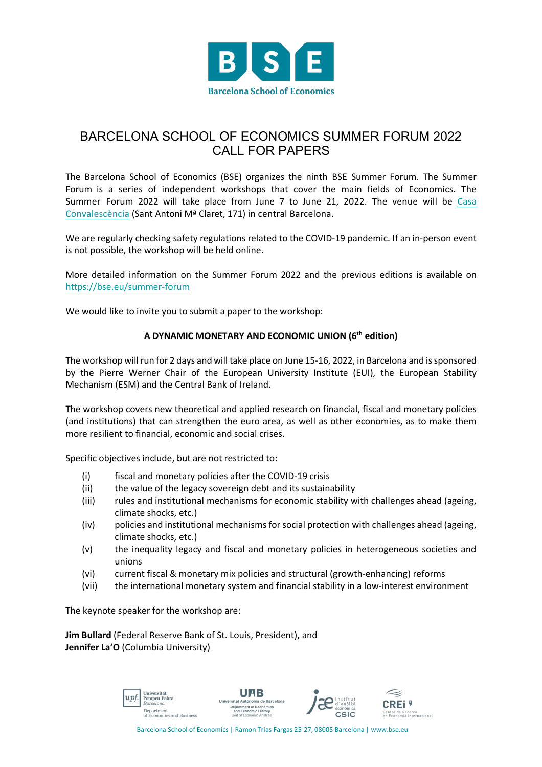

## BARCELONA SCHOOL OF ECONOMICS SUMMER FORUM 2022 CALL FOR PAPERS

The Barcelona School of Economics (BSE) organizes the ninth BSE Summer Forum. The Summer Forum is a series of independent workshops that cover the main fields of Economics. The Summer Forum 2022 will take place from June 7 to June 21, 2022. The venue will be Casa Convalescència (Sant Antoni Mª Claret, 171) in central Barcelona.

We are regularly checking safety regulations related to the COVID-19 pandemic. If an in-person event is not possible, the workshop will be held online.

More detailed information on the Summer Forum 2022 and the previous editions is available on https://bse.eu/summer-forum

We would like to invite you to submit a paper to the workshop:

## **A DYNAMIC MONETARY AND ECONOMIC UNION (6th edition)**

The workshop will run for 2 days and will take place on June 15-16, 2022, in Barcelona and is sponsored by the Pierre Werner Chair of the European University Institute (EUI), the European Stability Mechanism (ESM) and the Central Bank of Ireland.

The workshop covers new theoretical and applied research on financial, fiscal and monetary policies (and institutions) that can strengthen the euro area, as well as other economies, as to make them more resilient to financial, economic and social crises.

Specific objectives include, but are not restricted to:

- (i) fiscal and monetary policies after the COVID-19 crisis
- (ii) the value of the legacy sovereign debt and its sustainability
- (iii) rules and institutional mechanisms for economic stability with challenges ahead (ageing, climate shocks, etc.)
- (iv) policies and institutional mechanisms for social protection with challenges ahead (ageing, climate shocks, etc.)
- (v) the inequality legacy and fiscal and monetary policies in heterogeneous societies and unions
- (vi) current fiscal & monetary mix policies and structural (growth-enhancing) reforms
- (vii) the international monetary system and financial stability in a low-interest environment

The keynote speaker for the workshop are:

**Jim Bullard** (Federal Reserve Bank of St. Louis, President), and **Jennifer La'O** (Columbia University)